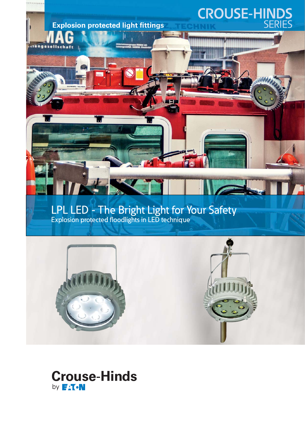# **CROUSE-HINDS**<br>SERIES

LPL LED - The Bright Light for Your Safety Explosion protected floodlights in LED technique

**auf die Sie sich auf die Sie sich auf der Einer** 

**verlassen** 

**Sicherheit,** 

**Explosion protected light fittings** 



## **Crouse-Hinds** by **FAT.N**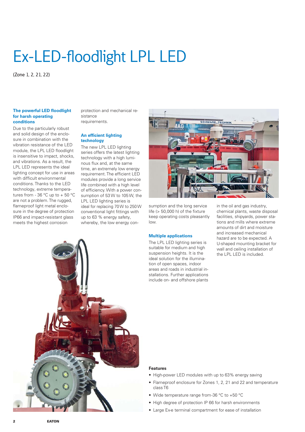## Ex-LED-floodlight LPL LED

(Zone 1, 2, 21, 22)

#### **The powerful LED floodlight for harsh operating conditions**

Due to the particularly robust and solid design of the enclosure in combination with the vibration resistance of the LED module, the LPL LED floodlight is insensitive to impact, shocks, and vibrations. As a result, the LPL LED represents the ideal lighting concept for use in areas with difficult environmental conditions. Thanks to the LED technology, extreme temperatures from - 36 °C up to + 50 °C are not a problem. The rugged, flameproof light metal enclosure in the degree of protection IP66 and impact-resistant glass meets the highest corrosion

protection and mechanical resistance requirements.

#### **An efficient lighting technology**

The new LPL LED lighting series offers the latest lighting technology with a high luminous flux and, at the same time, an extremely low energy requirement. The efficient LED modules provide a long service life combined with a high level of efficiency. With a power consumption of 53 W to 105 W, the LPL LED lighting series is ideal for replacing 70 W to 250 W conventional light fittings with up to 63 % energy safety, whereby, the low energy con-



sumption and the long service life (> 50,000 h) of the fixture keep operating costs pleasantly low.

#### **Multiple applications**

The LPL LED lighting series is suitable for medium and high suspension heights. It is the ideal solution for the illumination of open spaces, indoor areas and roads in industrial installations. Further applications include on- and offshore plants

in the oil and gas industry, chemical plants, waste disposal facilities, shipyards, power stations and mills where extreme amounts of dirt and moisture and increased mechanical hazard are to be expected. A U-shaped mounting bracket for wall and ceiling installation of the LPL LED is included.



#### **Features**

- High-power LED modules with up to 63% energy saving
- Flameproof enclosure for Zones 1, 2, 21 and 22 and temperature class T6
- Wide temperature range from -36 °C to +50 °C
- High degree of protection IP 66 for harsh environments
- Large Ex-e terminal compartment for ease of installation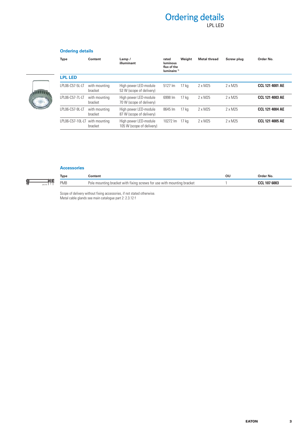### Ordering details LPL LED

#### **Ordering details**



#### **Accessories**

 $\frac{6}{10}$ 

48-58

| Type | onten                                                                  | ou | Order No.           |
|------|------------------------------------------------------------------------|----|---------------------|
| PMB  | Pole mounting bracket with fixing screws for use with mounting bracket |    | <b>CCL 107 6003</b> |

Scope of delivery without fixing accessories, if not stated otherwise. Metal cable glands see main catalogue part 2: 2.3.12 f

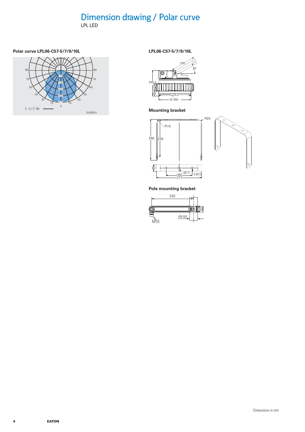## Dimension drawing / Polar curve

LPL LED

#### **Polar curve LPL06-C57-5/7/9/10L**



**LPL06-C57-5/7/9/10L**



**Mounting bracket**



**Pole mounting bracket**

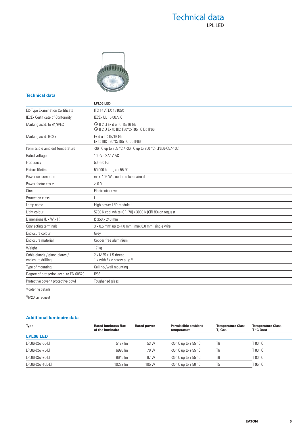### Technical data LPL LED



#### **Technical data**

|                                                     | LPL06 LED                                                                                      |  |  |  |  |
|-----------------------------------------------------|------------------------------------------------------------------------------------------------|--|--|--|--|
| <b>EC-Type Examination Certificate</b>              | <b>ITS 14 ATEX 18105X</b>                                                                      |  |  |  |  |
| <b>IECEx Certificate of Conformity</b>              | <b>IECEx UL 15.0077X</b>                                                                       |  |  |  |  |
| Marking accd. to 94/9/EC                            | <b>&amp; II 2 G Ex d e IIC T5/T6 Gb</b><br><sup>4</sup> Il 2 D Ex tb IIIC T80°C/T95 °C Db IP66 |  |  |  |  |
| Marking accd. IECEx                                 | Ex d e IIC T5/T6 Gb<br>Ex tb IIIC T80°C/T95 °C Db IP66                                         |  |  |  |  |
| Permissible ambient temperature                     | -36 °C up to +55 °C / -36 °C up to +50 °C (LPL06-C57-10L)                                      |  |  |  |  |
| Rated voltage                                       | 100 V - 277 V AC                                                                               |  |  |  |  |
| Frequency                                           | $50 - 60$ Hz                                                                                   |  |  |  |  |
| Fixture lifetime                                    | 50.000 h at $t_a = +55 °C$                                                                     |  |  |  |  |
| Power consumption                                   | max. 105 W (see table luminaire data)                                                          |  |  |  |  |
| Power factor cos o                                  | $\geq 0.9$                                                                                     |  |  |  |  |
| Circuit                                             | Electronic driver                                                                              |  |  |  |  |
| Protection class                                    |                                                                                                |  |  |  |  |
| Lamp name                                           | High power LED-module <sup>1)</sup>                                                            |  |  |  |  |
| Light colour                                        | 5700 K cool white (CRI 70) / 3000 K (CRI 80) on request                                        |  |  |  |  |
| Dimensions (L x W x H)                              | Ø 350 x 240 mm                                                                                 |  |  |  |  |
| Connecting terminals                                | $3 \times 0.5$ mm <sup>2</sup> up to 4.0 mm <sup>2</sup> , max 6.0 mm <sup>2</sup> single wire |  |  |  |  |
| Enclosure colour                                    | Grey                                                                                           |  |  |  |  |
| Enclosure material                                  | Copper free aluminium                                                                          |  |  |  |  |
| Weight                                              | 17 <sub>kg</sub>                                                                               |  |  |  |  |
| Cable glands / gland plates /<br>enclosure drilling | 2 x M25 x 1.5 thread.<br>1 x with Ex-e screw plug 2)                                           |  |  |  |  |
| Type of mounting                                    | Ceiling-/wall mounting                                                                         |  |  |  |  |
| Degree of protection accd. to EN 60529              | <b>IP66</b>                                                                                    |  |  |  |  |
| Protective cover / protective bowl                  | Toughened glass                                                                                |  |  |  |  |
|                                                     |                                                                                                |  |  |  |  |

<sup>1)</sup> ordering details

2) M20 on request

#### **Additional luminaire data**

| <b>Type</b>      | <b>Rated luminous flux</b><br>of the luminaire | <b>Rated power</b> | <b>Permissible ambient</b><br>temperature | <b>Temperature Class</b><br>T. Gas | <b>Temperature Class</b><br>T °C Dust |
|------------------|------------------------------------------------|--------------------|-------------------------------------------|------------------------------------|---------------------------------------|
| <b>LPL06 LED</b> |                                                |                    |                                           |                                    |                                       |
| LPL06-C57-5L-LT  | 5127 lm                                        | 53 W               | -36 °C up to + 55 °C                      | T <sub>6</sub>                     | T 80 °C                               |
| LPL06-C57-7L-LT  | 6998 lm                                        | 70 W               | -36 °C up to + 55 °C                      | T <sub>6</sub>                     | T 80 °C.                              |
| LPL06-C57-9L-LT  | 8645 lm                                        | 87 W               | -36 °C up to + 55 °C                      | T <sub>6</sub>                     | T 80 °C                               |
| LPL06-C57-10L-LT | 10272 lm                                       | 105 W              | -36 °C up to + 50 °C                      | T <sub>5</sub>                     | T 95 °C                               |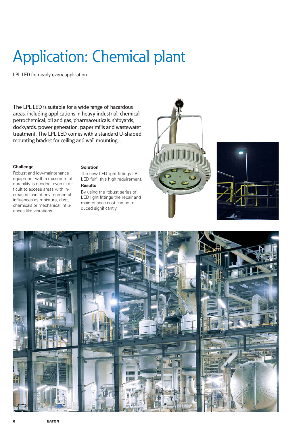## Application: Chemical plant

LPL LED for nearly every application

The LPL LED is suitable for a wide range of hazardous areas, including applications in heavy industrial, chemical, petrochemical, oil and gas, pharmaceuticals, shipyards, dockyards, power generation, paper mills and wastewater treatment. The LPL LED comes with a standard U-shaped mounting bracket for ceiling and wall mounting. .

#### **Challenge**

Robust and low-maintenance equipment with a maximum of durability is needed, even in difficult to access areas with increased load of environmental influences as moisture, dust, chemicals or mechanical influences like vibrations.

#### **Solution**

The new LED-light fittings LPL LED fulfil this high requirement.

#### **Results**

By using the robust series of LED light fittings the repair and maintenance cost can be reduced significantly.





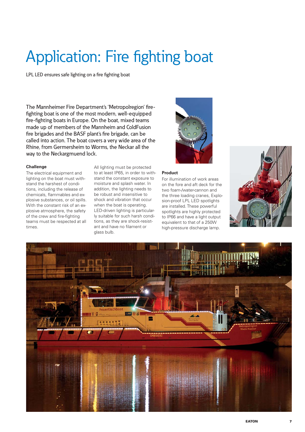## Application: Fire fighting boat

LPL LED ensures safe lighting on a fire fighting boat

The Mannheimer Fire Department's 'Metropolregion' firefighting boat is one of the most modern, well-equipped fire-fighting boats in Europe. On the boat, mixed teams made up of members of the Mannheim and ColdFusion fire brigades and the BASF plant's fire brigade, can be called into action. The boat covers a very wide area of the Rhine, from Germersheim to Worms, the Neckar all the way to the Neckargmuend lock.

#### **Challenge**

The electrical equipment and lighting on the boat must withstand the harshest of conditions, including the release of chemicals, flammables and explosive substances, or oil spills. With the constant risk of an explosive atmosphere, the safety of the crew and fire-fighting teams must be respected at all times.

All lighting must be protected to at least IP65, in order to withstand the constant exposure to moisture and splash water. In addition, the lighting needs to be robust and insensitive to shock and vibration that occur when the boat is operating. LED-driven lighting is particularly suitable for such harsh conditions, as they are shock-resistant and have no filament or glass bulb.



#### **Product**

For illumination of work areas on the fore and aft deck for the two foam-/water-cannon and the three loading cranes, Explosion-proof LPL LED spotlights are installed. These powerful spotlights are highly protected to IP66 and have a light output equivalent to that of a 250W high-pressure discharge lamp.